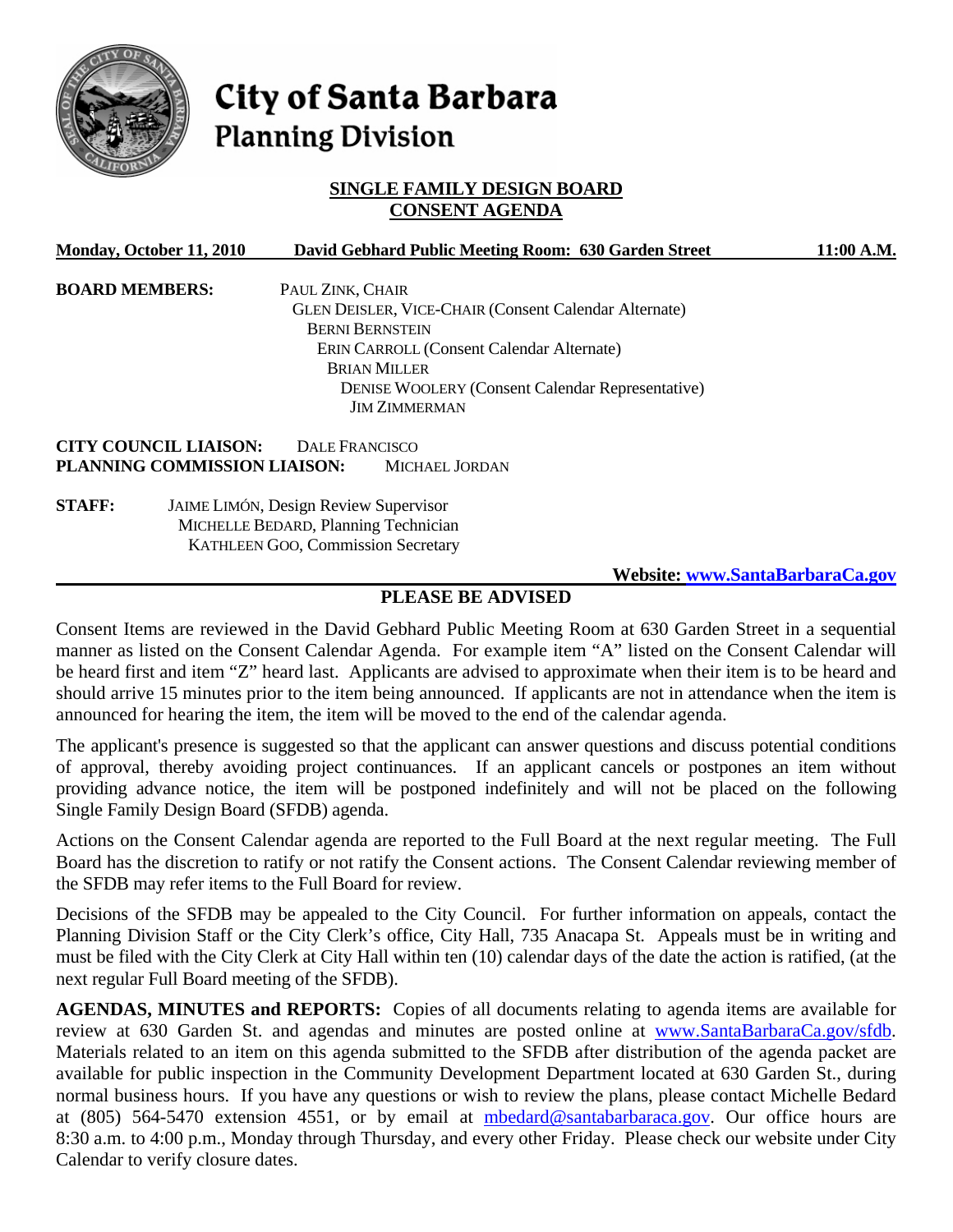

# City of Santa Barbara **Planning Division**

## **SINGLE FAMILY DESIGN BOARD CONSENT AGENDA**

| Monday, October 11, 2010     | David Gebhard Public Meeting Room: 630 Garden Street         | 11:00 A.M.                      |
|------------------------------|--------------------------------------------------------------|---------------------------------|
| <b>BOARD MEMBERS:</b>        | PAUL ZINK, CHAIR                                             |                                 |
|                              | <b>GLEN DEISLER, VICE-CHAIR (Consent Calendar Alternate)</b> |                                 |
|                              | <b>BERNI BERNSTEIN</b>                                       |                                 |
|                              | <b>ERIN CARROLL (Consent Calendar Alternate)</b>             |                                 |
|                              | <b>BRIAN MILLER</b>                                          |                                 |
|                              | <b>DENISE WOOLERY (Consent Calendar Representative)</b>      |                                 |
|                              | <b>JIM ZIMMERMAN</b>                                         |                                 |
| <b>CITY COUNCIL LIAISON:</b> | <b>DALE FRANCISCO</b>                                        |                                 |
| PLANNING COMMISSION LIAISON: | <b>MICHAEL JORDAN</b>                                        |                                 |
| <b>STAFF:</b>                | <b>JAIME LIMÓN, Design Review Supervisor</b>                 |                                 |
|                              | MICHELLE BEDARD, Planning Technician                         |                                 |
|                              | KATHLEEN GOO, Commission Secretary                           |                                 |
|                              |                                                              | Website: www.SantaBarbaraCa.gov |

## **PLEASE BE ADVISED**

Consent Items are reviewed in the David Gebhard Public Meeting Room at 630 Garden Street in a sequential manner as listed on the Consent Calendar Agenda. For example item "A" listed on the Consent Calendar will be heard first and item "Z" heard last. Applicants are advised to approximate when their item is to be heard and should arrive 15 minutes prior to the item being announced. If applicants are not in attendance when the item is announced for hearing the item, the item will be moved to the end of the calendar agenda.

The applicant's presence is suggested so that the applicant can answer questions and discuss potential conditions of approval, thereby avoiding project continuances. If an applicant cancels or postpones an item without providing advance notice, the item will be postponed indefinitely and will not be placed on the following Single Family Design Board (SFDB) agenda.

Actions on the Consent Calendar agenda are reported to the Full Board at the next regular meeting. The Full Board has the discretion to ratify or not ratify the Consent actions. The Consent Calendar reviewing member of the SFDB may refer items to the Full Board for review.

Decisions of the SFDB may be appealed to the City Council. For further information on appeals, contact the Planning Division Staff or the City Clerk's office, City Hall, 735 Anacapa St. Appeals must be in writing and must be filed with the City Clerk at City Hall within ten (10) calendar days of the date the action is ratified, (at the next regular Full Board meeting of the SFDB).

**AGENDAS, MINUTES and REPORTS:** Copies of all documents relating to agenda items are available for review at 630 Garden St. and agendas and minutes are posted online at [www.SantaBarbaraCa.gov/sfdb.](http://www.santabarbaraca.gov/sfdb) Materials related to an item on this agenda submitted to the SFDB after distribution of the agenda packet are available for public inspection in the Community Development Department located at 630 Garden St., during normal business hours. If you have any questions or wish to review the plans, please contact Michelle Bedard at (805) 564-5470 extension 4551, or by email at [mbedard@santabarbaraca.gov](mailto:mbedard@santabarbaraca.gov). Our office hours are 8:30 a.m. to 4:00 p.m., Monday through Thursday, and every other Friday. Please check our website under City Calendar to verify closure dates.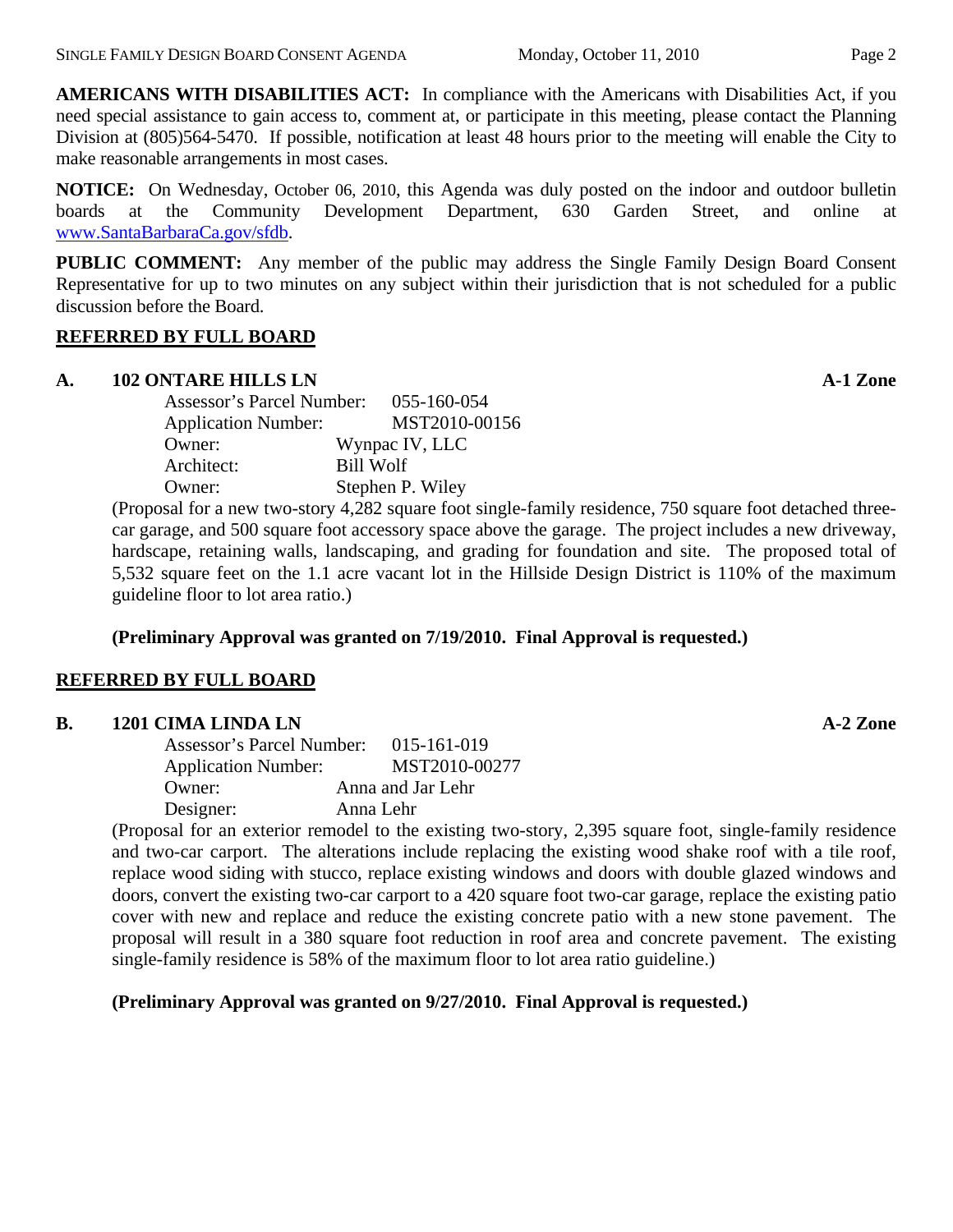**AMERICANS WITH DISABILITIES ACT:** In compliance with the Americans with Disabilities Act, if you need special assistance to gain access to, comment at, or participate in this meeting, please contact the Planning Division at (805)564-5470. If possible, notification at least 48 hours prior to the meeting will enable the City to make reasonable arrangements in most cases.

**NOTICE:** On Wednesday, October 06, 2010, this Agenda was duly posted on the indoor and outdoor bulletin boards at the Community Development Department, 630 Garden Street, and online at [www.SantaBarbaraCa.gov/sfdb](http://www.santabarbaraca.gov/sfdb).

**PUBLIC COMMENT:** Any member of the public may address the Single Family Design Board Consent Representative for up to two minutes on any subject within their jurisdiction that is not scheduled for a public discussion before the Board.

## **REFERRED BY FULL BOARD**

## **A. 102 ONTARE HILLS LN** A-1 Zone

| Assessor's Parcel Number:  | 055-160-054      |
|----------------------------|------------------|
| <b>Application Number:</b> | MST2010-00156    |
| Owner:                     | Wynpac IV, LLC   |
| Architect:                 | <b>Bill Wolf</b> |
| Owner:                     | Stephen P. Wiley |
|                            |                  |

(Proposal for a new two-story 4,282 square foot single-family residence, 750 square foot detached threecar garage, and 500 square foot accessory space above the garage. The project includes a new driveway, hardscape, retaining walls, landscaping, and grading for foundation and site. The proposed total of 5,532 square feet on the 1.1 acre vacant lot in the Hillside Design District is 110% of the maximum guideline floor to lot area ratio.)

**(Preliminary Approval was granted on 7/19/2010. Final Approval is requested.)** 

# **REFERRED BY FULL BOARD**

# **B. 1201 CIMA LINDA LN A-2 Zone**

| Assessor's Parcel Number:  | 015-161-019       |
|----------------------------|-------------------|
| <b>Application Number:</b> | MST2010-00277     |
| Owner:                     | Anna and Jar Lehr |
| Designer:                  | Anna Lehr         |

(Proposal for an exterior remodel to the existing two-story, 2,395 square foot, single-family residence and two-car carport. The alterations include replacing the existing wood shake roof with a tile roof, replace wood siding with stucco, replace existing windows and doors with double glazed windows and doors, convert the existing two-car carport to a 420 square foot two-car garage, replace the existing patio cover with new and replace and reduce the existing concrete patio with a new stone pavement. The proposal will result in a 380 square foot reduction in roof area and concrete pavement. The existing single-family residence is 58% of the maximum floor to lot area ratio guideline.)

**(Preliminary Approval was granted on 9/27/2010. Final Approval is requested.)**